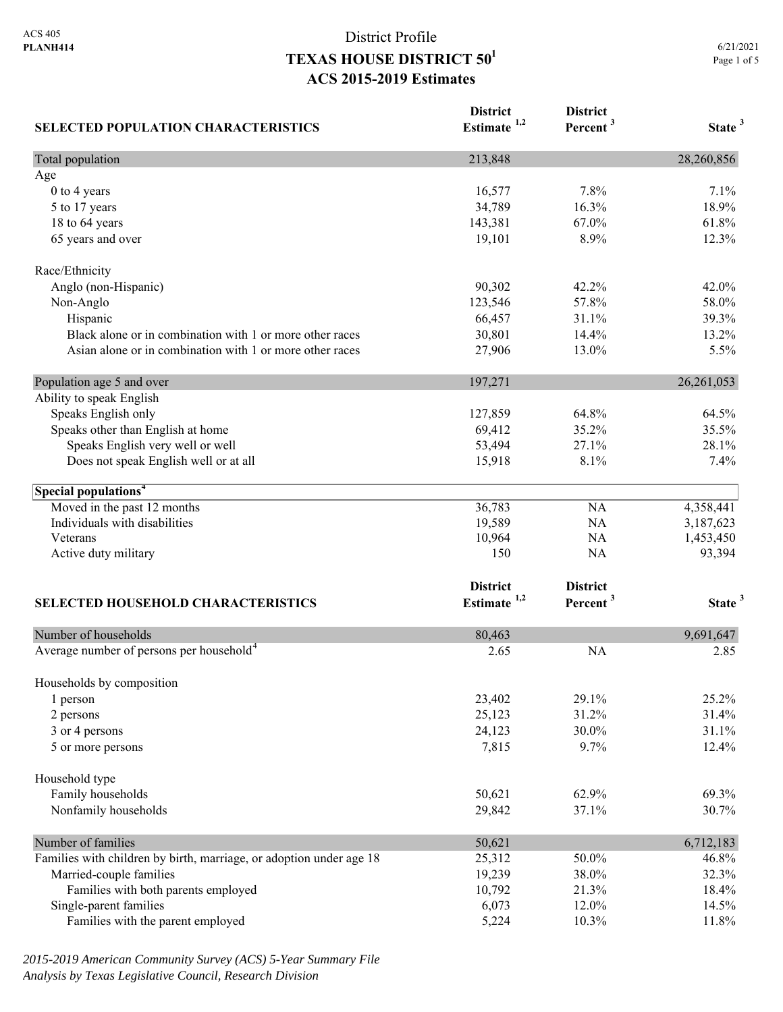| <b>SELECTED POPULATION CHARACTERISTICS</b>                          | <b>District</b><br>Estimate <sup>1,2</sup> | <b>District</b><br>Percent <sup>3</sup> | State <sup>3</sup> |
|---------------------------------------------------------------------|--------------------------------------------|-----------------------------------------|--------------------|
| Total population                                                    | 213,848                                    |                                         | 28,260,856         |
| Age                                                                 |                                            |                                         |                    |
| 0 to 4 years                                                        | 16,577                                     | 7.8%                                    | 7.1%               |
| 5 to 17 years                                                       | 34,789                                     | 16.3%                                   | 18.9%              |
| 18 to 64 years                                                      | 143,381                                    | 67.0%                                   | 61.8%              |
| 65 years and over                                                   | 19,101                                     | 8.9%                                    | 12.3%              |
| Race/Ethnicity                                                      |                                            |                                         |                    |
| Anglo (non-Hispanic)                                                | 90,302                                     | 42.2%                                   | 42.0%              |
| Non-Anglo                                                           | 123,546                                    | 57.8%                                   | 58.0%              |
| Hispanic                                                            | 66,457                                     | 31.1%                                   | 39.3%              |
| Black alone or in combination with 1 or more other races            | 30,801                                     | 14.4%                                   | 13.2%              |
| Asian alone or in combination with 1 or more other races            | 27,906                                     | 13.0%                                   | 5.5%               |
| Population age 5 and over                                           | 197,271                                    |                                         | 26, 261, 053       |
| Ability to speak English                                            |                                            |                                         |                    |
| Speaks English only                                                 | 127,859                                    | 64.8%                                   | 64.5%              |
| Speaks other than English at home                                   | 69,412                                     | 35.2%                                   | 35.5%              |
| Speaks English very well or well                                    | 53,494                                     | 27.1%                                   | 28.1%              |
| Does not speak English well or at all                               | 15,918                                     | 8.1%                                    | 7.4%               |
| Special populations <sup>4</sup>                                    |                                            |                                         |                    |
| Moved in the past 12 months                                         | 36,783                                     | NA                                      | 4,358,441          |
| Individuals with disabilities                                       | 19,589                                     | NA                                      | 3,187,623          |
| Veterans                                                            | 10,964                                     | NA                                      | 1,453,450          |
| Active duty military                                                | 150                                        | NA                                      | 93,394             |
|                                                                     | <b>District</b>                            | <b>District</b>                         |                    |
| <b>SELECTED HOUSEHOLD CHARACTERISTICS</b>                           | Estimate <sup>1,2</sup>                    | Percent <sup>3</sup>                    | State <sup>3</sup> |
| Number of households                                                | 80,463                                     |                                         | 9,691,647          |
| Average number of persons per household <sup>4</sup>                | 2.65                                       | <b>NA</b>                               | 2.85               |
| Households by composition                                           |                                            |                                         |                    |
| 1 person                                                            | 23,402                                     | 29.1%                                   | 25.2%              |
| 2 persons                                                           | 25,123                                     | 31.2%                                   | 31.4%              |
| 3 or 4 persons                                                      | 24,123                                     | 30.0%                                   | 31.1%              |
| 5 or more persons                                                   | 7,815                                      | 9.7%                                    | 12.4%              |
| Household type                                                      |                                            |                                         |                    |
| Family households                                                   | 50,621                                     | 62.9%                                   | 69.3%              |
| Nonfamily households                                                | 29,842                                     | 37.1%                                   | 30.7%              |
| Number of families                                                  | 50,621                                     |                                         | 6,712,183          |
| Families with children by birth, marriage, or adoption under age 18 | 25,312                                     | 50.0%                                   | 46.8%              |
| Married-couple families                                             | 19,239                                     | 38.0%                                   | 32.3%              |
| Families with both parents employed                                 | 10,792                                     | 21.3%                                   | 18.4%              |
| Single-parent families                                              | 6,073                                      | 12.0%                                   | 14.5%              |
| Families with the parent employed                                   | 5,224                                      | 10.3%                                   | 11.8%              |

*2015-2019 American Community Survey (ACS) 5-Year Summary File Analysis by Texas Legislative Council, Research Division*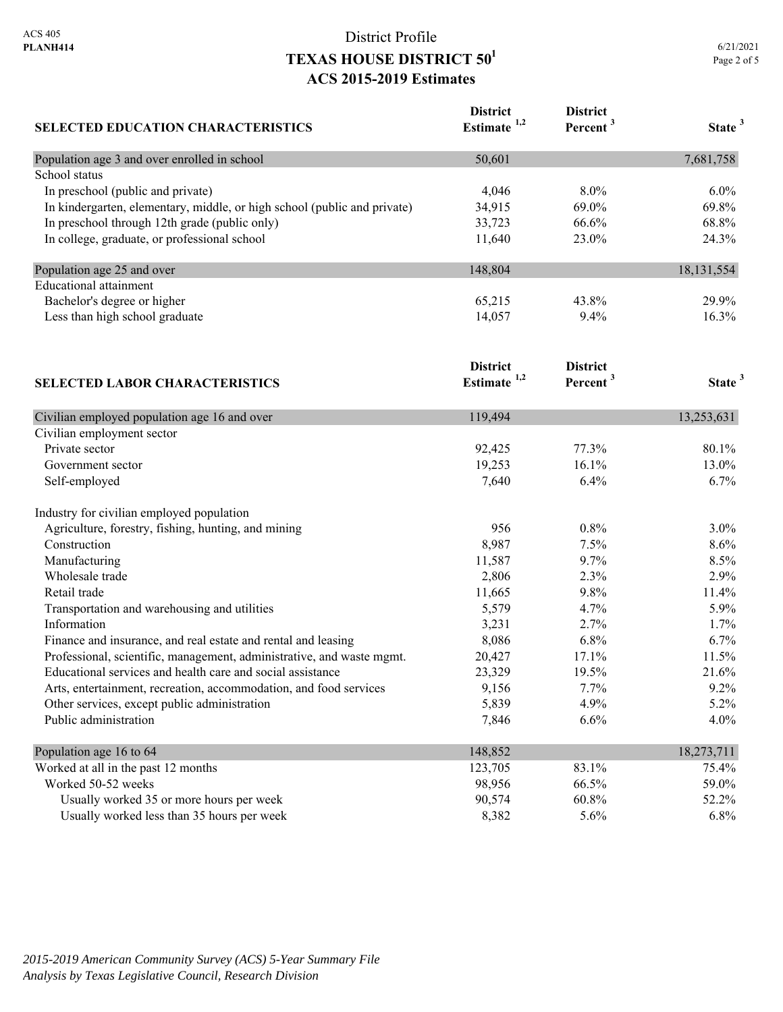| <b>SELECTED EDUCATION CHARACTERISTICS</b>                                | <b>District</b><br>Estimate <sup>1,2</sup> | <b>District</b><br>Percent <sup>3</sup> | State <sup>3</sup> |
|--------------------------------------------------------------------------|--------------------------------------------|-----------------------------------------|--------------------|
| Population age 3 and over enrolled in school                             | 50,601                                     |                                         | 7,681,758          |
| School status                                                            |                                            |                                         |                    |
| In preschool (public and private)                                        | 4,046                                      | 8.0%                                    | $6.0\%$            |
| In kindergarten, elementary, middle, or high school (public and private) | 34,915                                     | 69.0%                                   | 69.8%              |
| In preschool through 12th grade (public only)                            | 33,723                                     | 66.6%                                   | 68.8%              |
| In college, graduate, or professional school                             | 11,640                                     | 23.0%                                   | 24.3%              |
| Population age 25 and over                                               | 148,804                                    |                                         | 18, 131, 554       |
| <b>Educational attainment</b>                                            |                                            |                                         |                    |
| Bachelor's degree or higher                                              | 65,215                                     | 43.8%                                   | 29.9%              |
| Less than high school graduate                                           | 14,057                                     | 9.4%                                    | 16.3%              |
|                                                                          | <b>District</b>                            | <b>District</b>                         |                    |
| <b>SELECTED LABOR CHARACTERISTICS</b>                                    | Estimate <sup>1,2</sup>                    | Percent <sup>3</sup>                    | State <sup>3</sup> |
| Civilian employed population age 16 and over                             | 119,494                                    |                                         | 13,253,631         |
| Civilian employment sector                                               |                                            |                                         |                    |
| Private sector                                                           | 92,425                                     | 77.3%                                   | 80.1%              |
| Government sector                                                        | 19,253                                     | 16.1%                                   | 13.0%              |
| Self-employed                                                            | 7,640                                      | 6.4%                                    | 6.7%               |
| Industry for civilian employed population                                |                                            |                                         |                    |
| Agriculture, forestry, fishing, hunting, and mining                      | 956                                        | 0.8%                                    | $3.0\%$            |
| Construction                                                             | 8,987                                      | 7.5%                                    | 8.6%               |
| Manufacturing                                                            | 11,587                                     | 9.7%                                    | 8.5%               |
| Wholesale trade                                                          | 2,806                                      | 2.3%                                    | 2.9%               |
| Retail trade                                                             | 11,665                                     | 9.8%                                    | 11.4%              |
| Transportation and warehousing and utilities                             | 5,579                                      | 4.7%                                    | 5.9%               |
| Information                                                              | 3,231                                      | 2.7%                                    | 1.7%               |
| Finance and insurance, and real estate and rental and leasing            | 8,086                                      | 6.8%                                    | 6.7%               |
| Professional, scientific, management, administrative, and waste mgmt.    | 20,427                                     | 17.1%                                   | 11.5%              |
| Educational services and health care and social assistance               | 23,329                                     | 19.5%                                   | 21.6%              |
| Arts, entertainment, recreation, accommodation, and food services        | 9,156                                      | 7.7%                                    | 9.2%               |
| Other services, except public administration                             | 5,839                                      | 4.9%                                    | 5.2%               |
| Public administration                                                    | 7,846                                      | 6.6%                                    | 4.0%               |
| Population age 16 to 64                                                  | 148,852                                    |                                         | 18,273,711         |
| Worked at all in the past 12 months                                      | 123,705                                    | 83.1%                                   | 75.4%              |
| Worked 50-52 weeks                                                       | 98,956                                     | 66.5%                                   | 59.0%              |
| Usually worked 35 or more hours per week                                 | 90,574                                     | 60.8%                                   | 52.2%              |
| Usually worked less than 35 hours per week                               | 8,382                                      | 5.6%                                    | 6.8%               |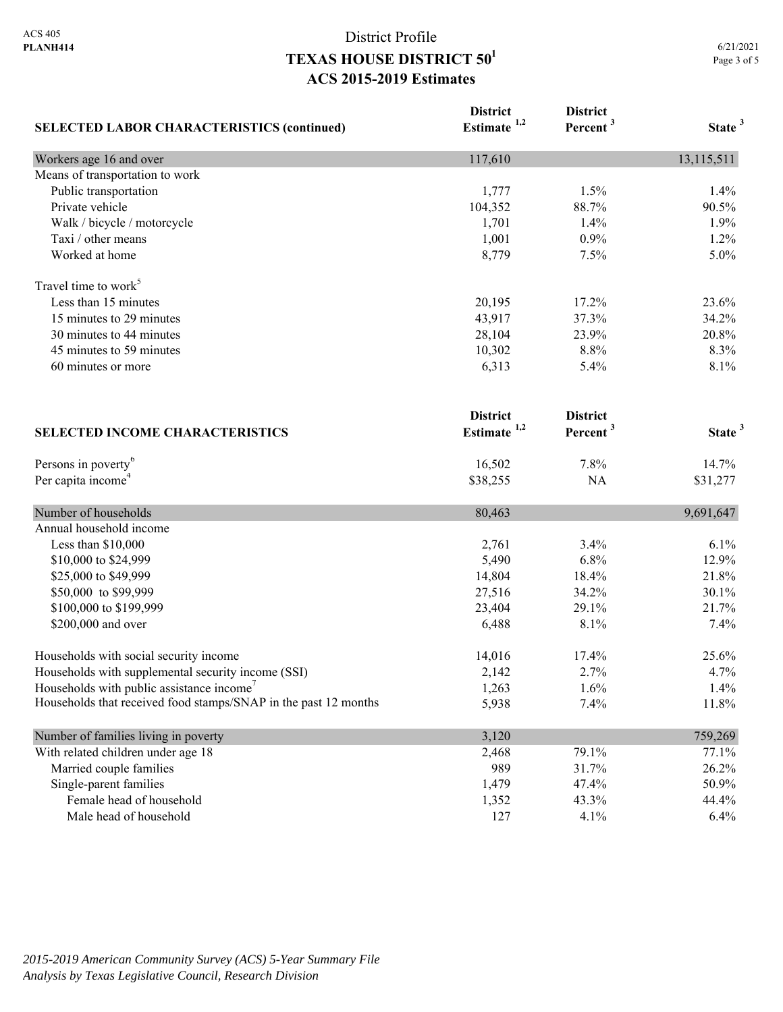| <b>SELECTED LABOR CHARACTERISTICS (continued)</b>               | <b>District</b><br>Estimate <sup>1,2</sup> | <b>District</b><br>Percent <sup>3</sup> | State <sup>3</sup> |
|-----------------------------------------------------------------|--------------------------------------------|-----------------------------------------|--------------------|
| Workers age 16 and over                                         | 117,610                                    |                                         | 13,115,511         |
| Means of transportation to work                                 |                                            |                                         |                    |
| Public transportation                                           | 1,777                                      | 1.5%                                    | 1.4%               |
| Private vehicle                                                 | 104,352                                    | 88.7%                                   | 90.5%              |
| Walk / bicycle / motorcycle                                     | 1,701                                      | 1.4%                                    | 1.9%               |
| Taxi / other means                                              | 1,001                                      | 0.9%                                    | 1.2%               |
| Worked at home                                                  | 8,779                                      | 7.5%                                    | 5.0%               |
| Travel time to work <sup>5</sup>                                |                                            |                                         |                    |
| Less than 15 minutes                                            | 20,195                                     | 17.2%                                   | 23.6%              |
| 15 minutes to 29 minutes                                        | 43,917                                     | 37.3%                                   | 34.2%              |
| 30 minutes to 44 minutes                                        | 28,104                                     | 23.9%                                   | 20.8%              |
| 45 minutes to 59 minutes                                        | 10,302                                     | 8.8%                                    | 8.3%               |
| 60 minutes or more                                              | 6,313                                      | 5.4%                                    | 8.1%               |
|                                                                 | <b>District</b>                            | <b>District</b>                         |                    |
| <b>SELECTED INCOME CHARACTERISTICS</b>                          | Estimate <sup>1,2</sup>                    | Percent <sup>3</sup>                    | State <sup>3</sup> |
| Persons in poverty <sup>6</sup>                                 | 16,502                                     | 7.8%                                    | 14.7%              |
| Per capita income <sup>4</sup>                                  | \$38,255                                   | NA                                      | \$31,277           |
| Number of households                                            | 80,463                                     |                                         | 9,691,647          |
| Annual household income                                         |                                            |                                         |                    |
| Less than \$10,000                                              | 2,761                                      | 3.4%                                    | 6.1%               |
| \$10,000 to \$24,999                                            | 5,490                                      | 6.8%                                    | 12.9%              |
| \$25,000 to \$49,999                                            | 14,804                                     | 18.4%                                   | 21.8%              |
| \$50,000 to \$99,999                                            | 27,516                                     | 34.2%                                   | 30.1%              |
| \$100,000 to \$199,999                                          | 23,404                                     | 29.1%                                   | 21.7%              |
| \$200,000 and over                                              | 6,488                                      | 8.1%                                    | 7.4%               |
| Households with social security income                          | 14,016                                     | 17.4%                                   | 25.6%              |
| Households with supplemental security income (SSI)              | 2,142                                      | 2.7%                                    | 4.7%               |
| Households with public assistance income'                       | 1,263                                      | 1.6%                                    | 1.4%               |
| Households that received food stamps/SNAP in the past 12 months | 5,938                                      | 7.4%                                    | 11.8%              |
| Number of families living in poverty                            | 3,120                                      |                                         | 759,269            |
| With related children under age 18                              | 2,468                                      | 79.1%                                   | 77.1%              |
| Married couple families                                         | 989                                        | 31.7%                                   | 26.2%              |
| Single-parent families                                          | 1,479                                      | 47.4%                                   | 50.9%              |
| Female head of household                                        | 1,352                                      | 43.3%                                   | 44.4%              |
| Male head of household                                          | 127                                        | 4.1%                                    | 6.4%               |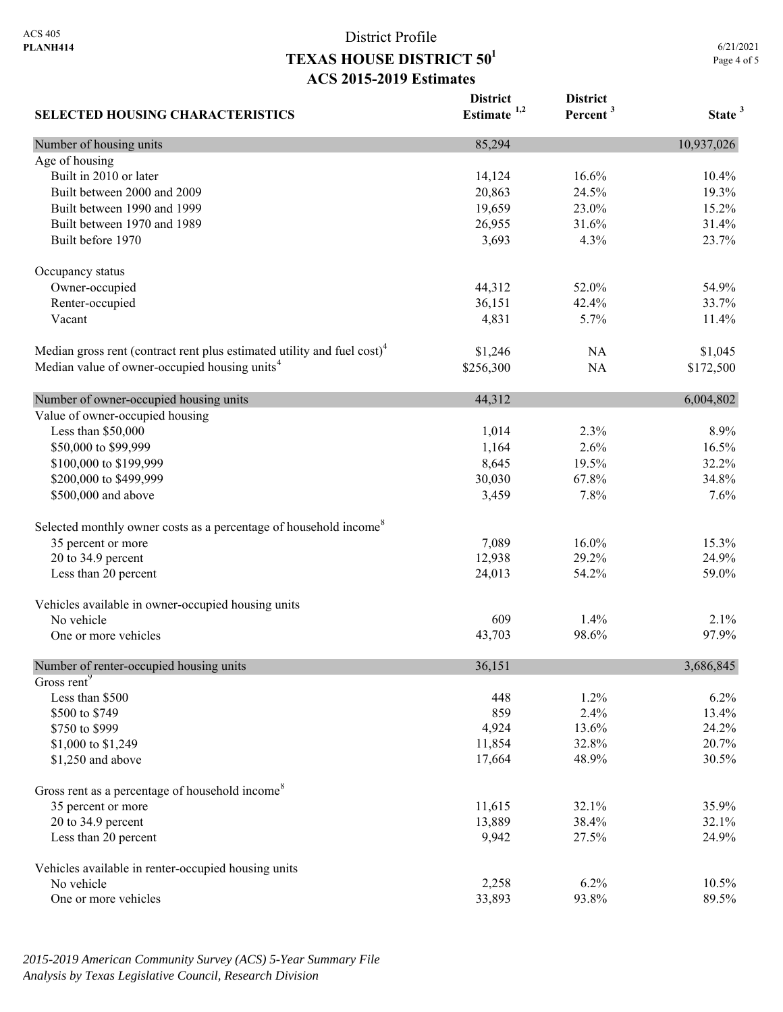6/21/2021 Page 4 of 5

| <b>SELECTED HOUSING CHARACTERISTICS</b>                                             | <b>District</b><br>Estimate $1,2$ | <b>District</b><br>Percent <sup>3</sup> | State <sup>3</sup> |
|-------------------------------------------------------------------------------------|-----------------------------------|-----------------------------------------|--------------------|
| Number of housing units                                                             | 85,294                            |                                         | 10,937,026         |
| Age of housing                                                                      |                                   |                                         |                    |
| Built in 2010 or later                                                              | 14,124                            | 16.6%                                   | 10.4%              |
| Built between 2000 and 2009                                                         | 20,863                            | 24.5%                                   | 19.3%              |
| Built between 1990 and 1999                                                         | 19,659                            | 23.0%                                   | 15.2%              |
| Built between 1970 and 1989                                                         | 26,955                            | 31.6%                                   | 31.4%              |
| Built before 1970                                                                   | 3,693                             | 4.3%                                    | 23.7%              |
| Occupancy status                                                                    |                                   |                                         |                    |
| Owner-occupied                                                                      | 44,312                            | 52.0%                                   | 54.9%              |
| Renter-occupied                                                                     | 36,151                            | 42.4%                                   | 33.7%              |
| Vacant                                                                              | 4,831                             | 5.7%                                    | 11.4%              |
| Median gross rent (contract rent plus estimated utility and fuel cost) <sup>4</sup> | \$1,246                           | NA                                      | \$1,045            |
| Median value of owner-occupied housing units <sup>4</sup>                           | \$256,300                         | <b>NA</b>                               | \$172,500          |
| Number of owner-occupied housing units                                              | 44,312                            |                                         | 6,004,802          |
| Value of owner-occupied housing                                                     |                                   |                                         |                    |
| Less than \$50,000                                                                  | 1,014                             | 2.3%                                    | 8.9%               |
| \$50,000 to \$99,999                                                                | 1,164                             | 2.6%                                    | 16.5%              |
| \$100,000 to \$199,999                                                              | 8,645                             | 19.5%                                   | 32.2%              |
| \$200,000 to \$499,999                                                              | 30,030                            | 67.8%                                   | 34.8%              |
| \$500,000 and above                                                                 | 3,459                             | 7.8%                                    | 7.6%               |
| Selected monthly owner costs as a percentage of household income <sup>8</sup>       |                                   |                                         |                    |
| 35 percent or more                                                                  | 7,089                             | 16.0%                                   | 15.3%              |
| 20 to 34.9 percent                                                                  | 12,938                            | 29.2%                                   | 24.9%              |
| Less than 20 percent                                                                | 24,013                            | 54.2%                                   | 59.0%              |
| Vehicles available in owner-occupied housing units                                  |                                   |                                         |                    |
| No vehicle                                                                          | 609                               | 1.4%                                    | 2.1%               |
| One or more vehicles                                                                | 43,703                            | 98.6%                                   | 97.9%              |
| Number of renter-occupied housing units                                             | 36,151                            |                                         | 3,686,845          |
| Gross rent <sup>9</sup>                                                             |                                   |                                         |                    |
| Less than \$500                                                                     | 448                               | 1.2%                                    | 6.2%               |
| \$500 to \$749                                                                      | 859                               | 2.4%                                    | 13.4%              |
| \$750 to \$999                                                                      | 4,924                             | 13.6%                                   | 24.2%              |
| \$1,000 to \$1,249                                                                  | 11,854                            | 32.8%                                   | 20.7%              |
| \$1,250 and above                                                                   | 17,664                            | 48.9%                                   | 30.5%              |
| Gross rent as a percentage of household income <sup>8</sup>                         |                                   |                                         |                    |
| 35 percent or more                                                                  | 11,615                            | 32.1%                                   | 35.9%              |
| 20 to 34.9 percent                                                                  | 13,889                            | 38.4%                                   | 32.1%              |
| Less than 20 percent                                                                | 9,942                             | 27.5%                                   | 24.9%              |
| Vehicles available in renter-occupied housing units                                 |                                   |                                         |                    |
| No vehicle                                                                          | 2,258                             | 6.2%                                    | 10.5%              |
| One or more vehicles                                                                | 33,893                            | 93.8%                                   | 89.5%              |